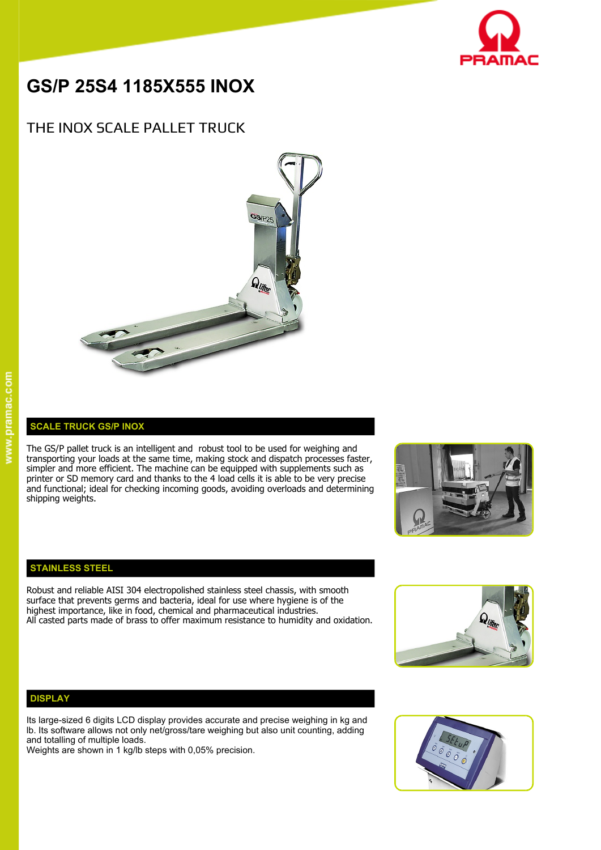

# **GS/P 25S4 1185X555 INOX**

## THE INOX SCALE PALLET TRUCK



### **SCALE TRUCK GS/P INOX**

The GS/P pallet truck is an intelligent and robust tool to be used for weighing and transporting your loads at the same time, making stock and dispatch processes faster, simpler and more efficient. The machine can be equipped with supplements such as printer or SD memory card and thanks to the 4 load cells it is able to be very precise and functional; ideal for checking incoming goods, avoiding overloads and determining shipping weights.



### **STAINLESS STEEL**

Robust and reliable AISI 304 electropolished stainless steel chassis, with smooth surface that prevents germs and bacteria, ideal for use where hygiene is of the highest importance, like in food, chemical and pharmaceutical industries. All casted parts made of brass to offer maximum resistance to humidity and oxidation.



### **DISPLAY**

Its large-sized 6 digits LCD display provides accurate and precise weighing in kg and lb. Its software allows not only net/gross/tare weighing but also unit counting, adding and totalling of multiple loads.

Weights are shown in 1 kg/lb steps with 0,05% precision.

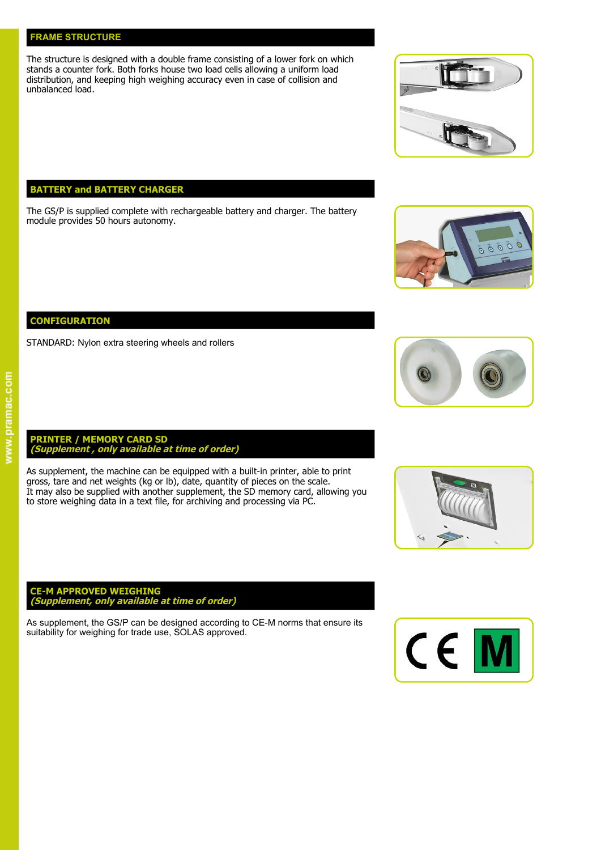### **FRAME STRUCTURE**

The structure is designed with a double frame consisting of a lower fork on which stands a counter fork. Both forks house two load cells allowing a uniform load distribution, and keeping high weighing accuracy even in case of collision and unbalanced load.

### **BATTERY and BATTERY CHARGER**

The GS/P is supplied complete with rechargeable battery and charger. The battery module provides 50 hours autonomy.

**CONFIGURATION**

STANDARD: Nylon extra steering wheels and rollers

### **PRINTER / MEMORY CARD SD (Supplement , only available at time of order)**

As supplement, the machine can be equipped with a built-in printer, able to print gross, tare and net weights (kg or lb), date, quantity of pieces on the scale. It may also be supplied with another supplement, the SD memory card, allowing you to store weighing data in a text file, for archiving and processing via PC.

### **CE-M APPROVED WEIGHING (Supplement, only available at time of order)**

As supplement, the GS/P can be designed according to CE-M norms that ensure its suitability for weighing for trade use, SOLAS approved.











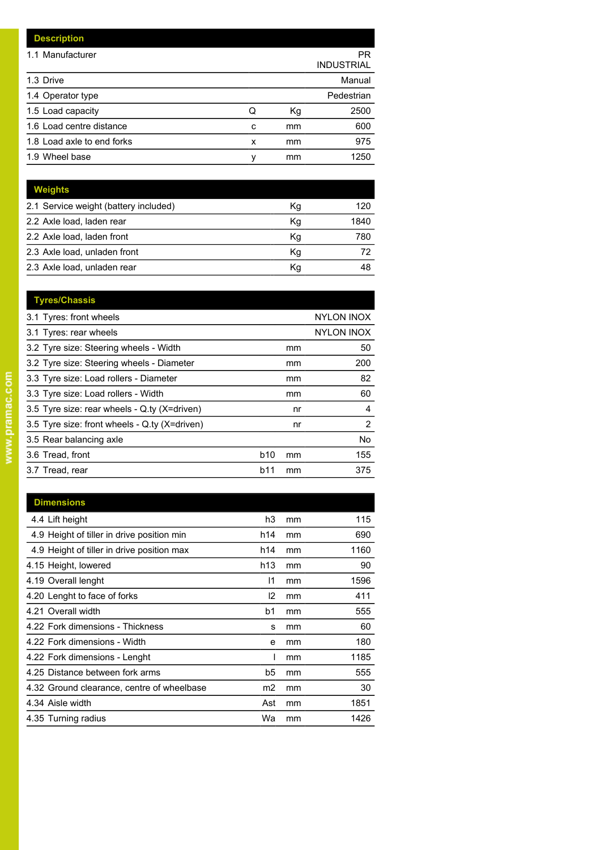| <b>Description</b>         |   |    |                         |
|----------------------------|---|----|-------------------------|
| 1.1 Manufacturer           |   |    | PR<br><b>INDUSTRIAL</b> |
| 1.3 Drive                  |   |    | Manual                  |
| 1.4 Operator type          |   |    | Pedestrian              |
| 1.5 Load capacity          | Q | Kg | 2500                    |
| 1.6 Load centre distance   | c | mm | 600                     |
| 1.8 Load axle to end forks | x | mm | 975                     |
| 1.9 Wheel base             | ٧ | mm | 1250                    |

| <b>Weights</b>                        |    |      |
|---------------------------------------|----|------|
| 2.1 Service weight (battery included) | Κq | 120  |
| 2.2 Axle load, laden rear             | Κq | 1840 |
| 2.2 Axle load, laden front            | Kg | 780  |
| 2.3 Axle load, unladen front          | Κq | 72   |
| 2.3 Axle load, unladen rear           | Κq | 48   |

| <b>Tyres/Chassis</b>                          |            |    |                   |
|-----------------------------------------------|------------|----|-------------------|
| 3.1 Tyres: front wheels                       |            |    | <b>NYLON INOX</b> |
| 3.1 Tyres: rear wheels                        |            |    | <b>NYLON INOX</b> |
| 3.2 Tyre size: Steering wheels - Width        |            | mm | 50                |
| 3.2 Tyre size: Steering wheels - Diameter     |            | mm | 200               |
| 3.3 Tyre size: Load rollers - Diameter        |            | mm | 82                |
| 3.3 Tyre size: Load rollers - Width           |            | mm | 60                |
| 3.5 Tyre size: rear wheels - Q.ty (X=driven)  |            | nr | 4                 |
| 3.5 Tyre size: front wheels - Q.ty (X=driven) |            | nr | $\overline{2}$    |
| 3.5 Rear balancing axle                       |            |    | No.               |
| 3.6 Tread, front                              | <b>b10</b> | mm | 155               |
| 3.7 Tread, rear                               | b11        | mm | 375               |
|                                               |            |    |                   |

| <b>Dimensions</b>                          |               |    |      |
|--------------------------------------------|---------------|----|------|
| 4.4 Lift height                            | h3            | mm | 115  |
| 4.9 Height of tiller in drive position min | h14           | mm | 690  |
| 4.9 Height of tiller in drive position max | h14           | mm | 1160 |
| 4.15 Height, lowered                       | h13           | mm | 90   |
| 4.19 Overall lenght                        | 11            | mm | 1596 |
| 4.20 Lenght to face of forks               | $\mathsf{I2}$ | mm | 411  |
| 4.21 Overall width                         | b1            | mm | 555  |
| 4.22 Fork dimensions - Thickness           | s             | mm | 60   |
| 4.22 Fork dimensions - Width               | e             | mm | 180  |
| 4.22 Fork dimensions - Lenght              |               | mm | 1185 |
| 4.25 Distance between fork arms            | b5            | mm | 555  |
| 4.32 Ground clearance, centre of wheelbase | m2            | mm | 30   |
| 4.34 Aisle width                           | Ast           | mm | 1851 |
| 4.35 Turning radius                        | Wa            | mm | 1426 |

# www.pramac.com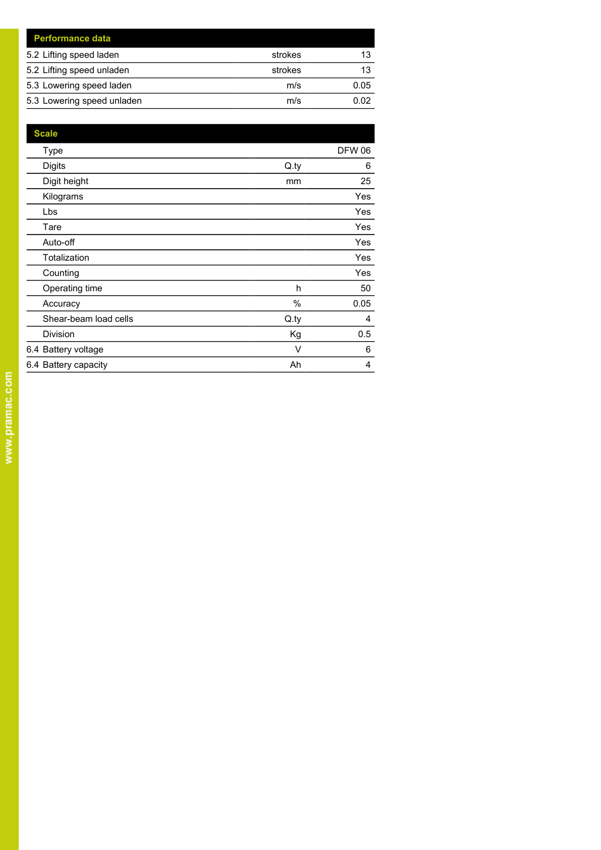| <b>Performance data</b>    |         |      |
|----------------------------|---------|------|
| 5.2 Lifting speed laden    | strokes | 13   |
| 5.2 Lifting speed unladen  | strokes | 13   |
| 5.3 Lowering speed laden   | m/s     | 0.05 |
| 5.3 Lowering speed unladen | m/s     | 0.02 |

| <b>Scale</b>          |      |               |
|-----------------------|------|---------------|
| <b>Type</b>           |      | <b>DFW 06</b> |
| <b>Digits</b>         | Q.py | 6             |
| Digit height          | mm   | 25            |
| Kilograms             |      | <b>Yes</b>    |
| Lbs                   |      | <b>Yes</b>    |
| Tare                  |      | Yes           |
| Auto-off              |      | Yes           |
| Totalization          |      | <b>Yes</b>    |
| Counting              |      | <b>Yes</b>    |
| Operating time        | h    | 50            |
| Accuracy              | %    | 0.05          |
| Shear-beam load cells | Q.py | 4             |
| Division              | Кg   | 0.5           |
| 6.4 Battery voltage   | V    | 6             |
| 6.4 Battery capacity  | Ah   | 4             |